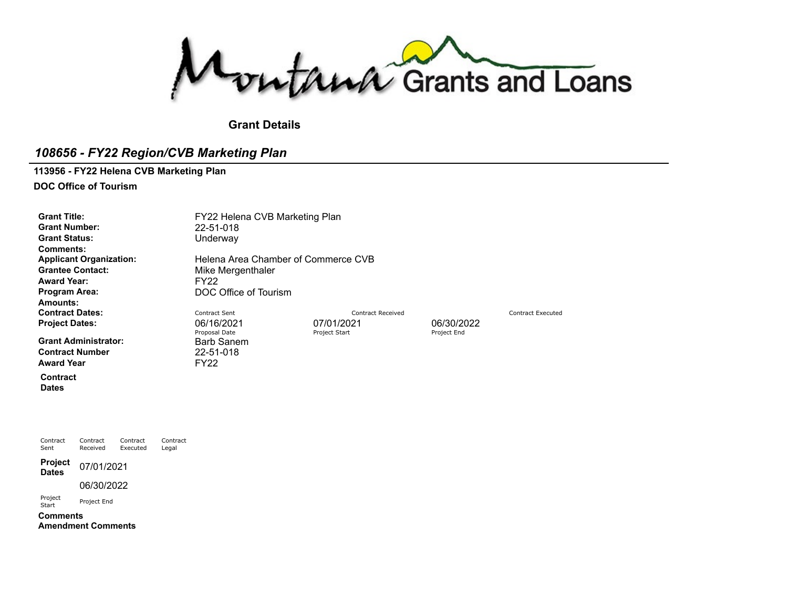Montana Grants and Loans

**Grant Details**

# *108656 - FY22 Region/CVB Marketing Plan*

#### **113956 - FY22 Helena CVB Marketing Plan**

**DOC Office of Tourism**

**Grant Number:** 22-51-018 Grant Status: Underway **Comments: Award Year:** FY22<br>**Program Area:** DOC **Amounts: Contract Dates:** Contract Dentract Sent Contract Sent Contract Received Contract Person Contract Executed Contract Executed **Project Dates:** 06/16/2021 06/16/2021 07/01/2021 06/30/2022<br>Proposal Date Proposal Date Project Start Project Start Project End

**Grant Administrator:** Barb [Sanem](https://funding.mt.gov/personDetail.do?OIDString=1324656878242|Person&history=include)<br> **Contract Number** 22-51-018 **Contract Number** Award Year **FY22** 

**Contract Dates**

Grant Title: **FY22 Helena CVB Marketing Plan Applicant Organization:** Helena Area Chamber of [Commerce](https://funding.mt.gov/organizationDetail.do?OIDString=1393544187388|Organization&history=include) CVB<br> **Grantee Contact:** Mike Mergenthaler **Mike [Mergenthaler](https://funding.mt.gov/personDetail.do?OIDString=1393544187403|Person&history=include)** 

**Program Area:** DOC Office of Tourism

Proposal Date

Contract Sent Contract Received Contract Executed Contract Legal **Project Project** 07/01/2021 06/30/2022 Project Project End **Comments**

**Amendment Comments**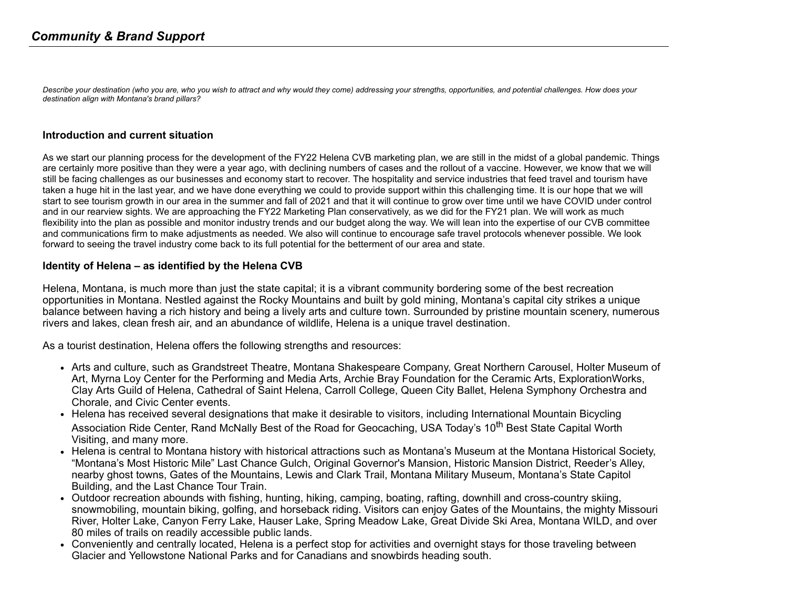Describe your destination (who you are, who you wish to attract and why would they come) addressing your strengths, opportunities, and potential challenges. How does your *destination align with Montana's brand pillars?*

#### **Introduction and current situation**

As we start our planning process for the development of the FY22 Helena CVB marketing plan, we are still in the midst of a global pandemic. Things are certainly more positive than they were a year ago, with declining numbers of cases and the rollout of a vaccine. However, we know that we will still be facing challenges as our businesses and economy start to recover. The hospitality and service industries that feed travel and tourism have taken a huge hit in the last year, and we have done everything we could to provide support within this challenging time. It is our hope that we will start to see tourism growth in our area in the summer and fall of 2021 and that it will continue to grow over time until we have COVID under control and in our rearview sights. We are approaching the FY22 Marketing Plan conservatively, as we did for the FY21 plan. We will work as much flexibility into the plan as possible and monitor industry trends and our budget along the way. We will lean into the expertise of our CVB committee and communications firm to make adjustments as needed. We also will continue to encourage safe travel protocols whenever possible. We look forward to seeing the travel industry come back to its full potential for the betterment of our area and state.

#### **Identity of Helena – as identified by the Helena CVB**

Helena, Montana, is much more than just the state capital; it is a vibrant community bordering some of the best recreation opportunities in Montana. Nestled against the Rocky Mountains and built by gold mining, Montana's capital city strikes a unique balance between having a rich history and being a lively arts and culture town. Surrounded by pristine mountain scenery, numerous rivers and lakes, clean fresh air, and an abundance of wildlife, Helena is a unique travel destination.

As a tourist destination, Helena offers the following strengths and resources:

- Arts and culture, such as Grandstreet Theatre, Montana Shakespeare Company, Great Northern Carousel, Holter Museum of Art, Myrna Loy Center for the Performing and Media Arts, Archie Bray Foundation for the Ceramic Arts, ExplorationWorks, Clay Arts Guild of Helena, Cathedral of Saint Helena, Carroll College, Queen City Ballet, Helena Symphony Orchestra and Chorale, and Civic Center events.
- Helena has received several designations that make it desirable to visitors, including International Mountain Bicycling Association Ride Center, Rand McNally Best of the Road for Geocaching, USA Today's 10<sup>th</sup> Best State Capital Worth Visiting, and many more.
- Helena is central to Montana history with historical attractions such as Montana's Museum at the Montana Historical Society, "Montana's Most Historic Mile" Last Chance Gulch, Original Governor's Mansion, Historic Mansion District, Reeder's Alley, nearby ghost towns, Gates of the Mountains, Lewis and Clark Trail, Montana Military Museum, Montana's State Capitol Building, and the Last Chance Tour Train.
- Outdoor recreation abounds with fishing, hunting, hiking, camping, boating, rafting, downhill and cross-country skiing, snowmobiling, mountain biking, golfing, and horseback riding. Visitors can enjoy Gates of the Mountains, the mighty Missouri River, Holter Lake, Canyon Ferry Lake, Hauser Lake, Spring Meadow Lake, Great Divide Ski Area, Montana WILD, and over 80 miles of trails on readily accessible public lands.
- Conveniently and centrally located, Helena is a perfect stop for activities and overnight stays for those traveling between Glacier and Yellowstone National Parks and for Canadians and snowbirds heading south.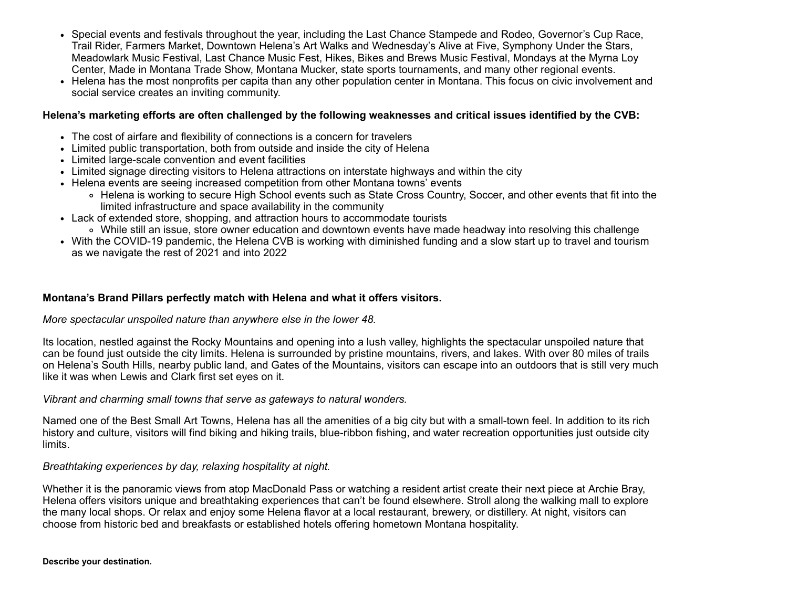- Special events and festivals throughout the year, including the Last Chance Stampede and Rodeo, Governor's Cup Race, Trail Rider, Farmers Market, Downtown Helena's Art Walks and Wednesday's Alive at Five, Symphony Under the Stars, Meadowlark Music Festival, Last Chance Music Fest, Hikes, Bikes and Brews Music Festival, Mondays at the Myrna Loy Center, Made in Montana Trade Show, Montana Mucker, state sports tournaments, and many other regional events.
- Helena has the most nonprofits per capita than any other population center in Montana. This focus on civic involvement and social service creates an inviting community.

#### Helena's marketing efforts are often challenged by the following weaknesses and critical issues identified by the CVB:

- The cost of airfare and flexibility of connections is a concern for travelers
- Limited public transportation, both from outside and inside the city of Helena
- Limited large-scale convention and event facilities
- Limited signage directing visitors to Helena attractions on interstate highways and within the city
- Helena events are seeing increased competition from other Montana towns' events
	- Helena is working to secure High School events such as State Cross Country, Soccer, and other events that fit into the limited infrastructure and space availability in the community
- Lack of extended store, shopping, and attraction hours to accommodate tourists
	- While still an issue, store owner education and downtown events have made headway into resolving this challenge
- With the COVID-19 pandemic, the Helena CVB is working with diminished funding and a slow start up to travel and tourism as we navigate the rest of 2021 and into 2022

### **Montana's Brand Pillars perfectly match with Helena and what it offers visitors.**

#### *More spectacular unspoiled nature than anywhere else in the lower 48.*

Its location, nestled against the Rocky Mountains and opening into a lush valley, highlights the spectacular unspoiled nature that can be found just outside the city limits. Helena is surrounded by pristine mountains, rivers, and lakes. With over 80 miles of trails on Helena's South Hills, nearby public land, and Gates of the Mountains, visitors can escape into an outdoors that is still very much like it was when Lewis and Clark first set eyes on it.

*Vibrant and charming small towns that serve as gateways to natural wonders.*

Named one of the Best Small Art Towns, Helena has all the amenities of a big city but with a small-town feel. In addition to its rich history and culture, visitors will find biking and hiking trails, blue-ribbon fishing, and water recreation opportunities just outside city limits.

### *Breathtaking experiences by day, relaxing hospitality at night.*

Whether it is the panoramic views from atop MacDonald Pass or watching a resident artist create their next piece at Archie Bray, Helena offers visitors unique and breathtaking experiences that can't be found elsewhere. Stroll along the walking mall to explore the many local shops. Or relax and enjoy some Helena flavor at a local restaurant, brewery, or distillery. At night, visitors can choose from historic bed and breakfasts or established hotels offering hometown Montana hospitality.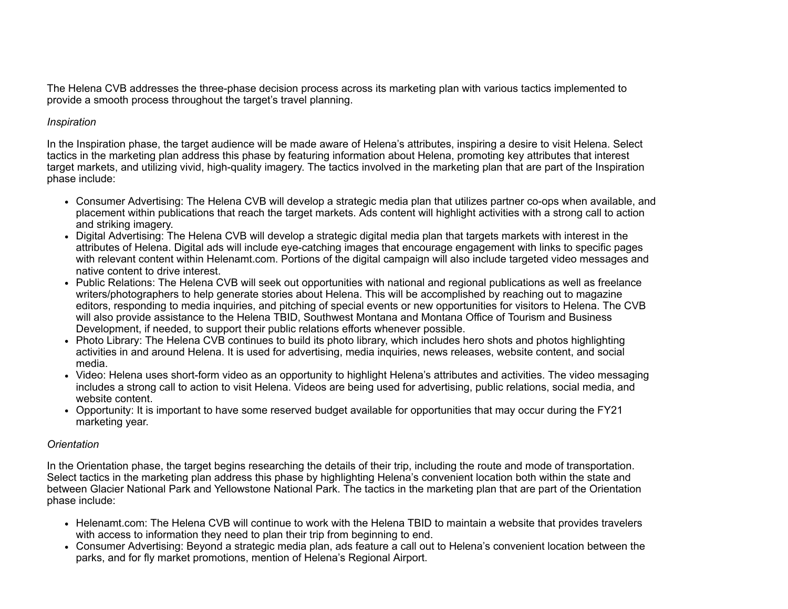The Helena CVB addresses the three-phase decision process across its marketing plan with various tactics implemented to provide a smooth process throughout the target's travel planning.

### *Inspiration*

In the Inspiration phase, the target audience will be made aware of Helena's attributes, inspiring a desire to visit Helena. Select tactics in the marketing plan address this phase by featuring information about Helena, promoting key attributes that interest target markets, and utilizing vivid, high-quality imagery. The tactics involved in the marketing plan that are part of the Inspiration phase include:

- Consumer Advertising: The Helena CVB will develop a strategic media plan that utilizes partner co-ops when available, and placement within publications that reach the target markets. Ads content will highlight activities with a strong call to action and striking imagery.
- Digital Advertising: The Helena CVB will develop a strategic digital media plan that targets markets with interest in the attributes of Helena. Digital ads will include eye-catching images that encourage engagement with links to specific pages with relevant content within Helenamt.com. Portions of the digital campaign will also include targeted video messages and native content to drive interest.
- Public Relations: The Helena CVB will seek out opportunities with national and regional publications as well as freelance writers/photographers to help generate stories about Helena. This will be accomplished by reaching out to magazine editors, responding to media inquiries, and pitching of special events or new opportunities for visitors to Helena. The CVB will also provide assistance to the Helena TBID, Southwest Montana and Montana Office of Tourism and Business Development, if needed, to support their public relations efforts whenever possible.
- Photo Library: The Helena CVB continues to build its photo library, which includes hero shots and photos highlighting activities in and around Helena. It is used for advertising, media inquiries, news releases, website content, and social media.
- Video: Helena uses short-form video as an opportunity to highlight Helena's attributes and activities. The video messaging includes a strong call to action to visit Helena. Videos are being used for advertising, public relations, social media, and website content.
- Opportunity: It is important to have some reserved budget available for opportunities that may occur during the FY21 marketing year.

#### *Orientation*

In the Orientation phase, the target begins researching the details of their trip, including the route and mode of transportation. Select tactics in the marketing plan address this phase by highlighting Helena's convenient location both within the state and between Glacier National Park and Yellowstone National Park. The tactics in the marketing plan that are part of the Orientation phase include:

- Helenamt.com: The Helena CVB will continue to work with the Helena TBID to maintain a website that provides travelers with access to information they need to plan their trip from beginning to end.
- Consumer Advertising: Beyond a strategic media plan, ads feature a call out to Helena's convenient location between the parks, and for fly market promotions, mention of Helena's Regional Airport.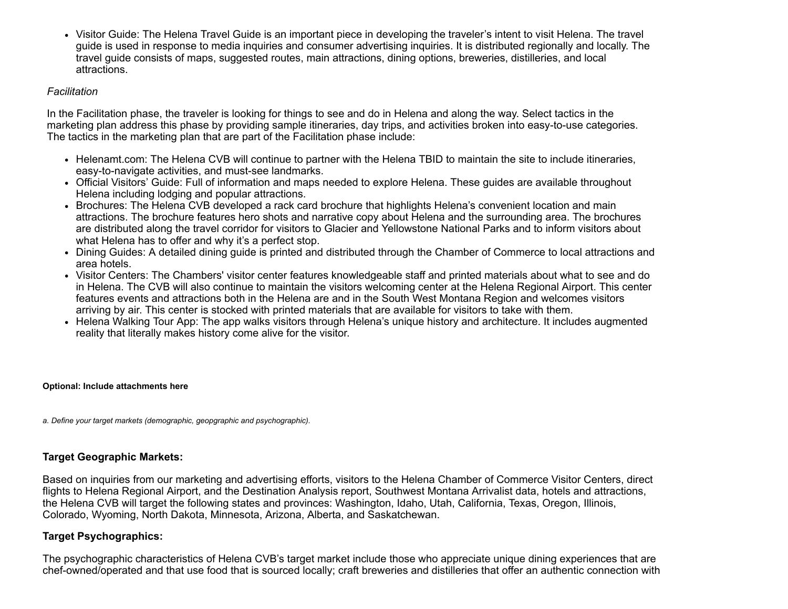Visitor Guide: The Helena Travel Guide is an important piece in developing the traveler's intent to visit Helena. The travel guide is used in response to media inquiries and consumer advertising inquiries. It is distributed regionally and locally. The travel guide consists of maps, suggested routes, main attractions, dining options, breweries, distilleries, and local attractions.

#### *Facilitation*

In the Facilitation phase, the traveler is looking for things to see and do in Helena and along the way. Select tactics in the marketing plan address this phase by providing sample itineraries, day trips, and activities broken into easy-to-use categories. The tactics in the marketing plan that are part of the Facilitation phase include:

- Helenamt.com: The Helena CVB will continue to partner with the Helena TBID to maintain the site to include itineraries, easy-to-navigate activities, and must-see landmarks.
- Official Visitors' Guide: Full of information and maps needed to explore Helena. These guides are available throughout Helena including lodging and popular attractions.
- Brochures: The Helena CVB developed a rack card brochure that highlights Helena's convenient location and main attractions. The brochure features hero shots and narrative copy about Helena and the surrounding area. The brochures are distributed along the travel corridor for visitors to Glacier and Yellowstone National Parks and to inform visitors about what Helena has to offer and why it's a perfect stop.
- Dining Guides: A detailed dining guide is printed and distributed through the Chamber of Commerce to local attractions and area hotels.
- Visitor Centers: The Chambers' visitor center features knowledgeable staff and printed materials about what to see and do in Helena. The CVB will also continue to maintain the visitors welcoming center at the Helena Regional Airport. This center features events and attractions both in the Helena are and in the South West Montana Region and welcomes visitors arriving by air. This center is stocked with printed materials that are available for visitors to take with them.
- Helena Walking Tour App: The app walks visitors through Helena's unique history and architecture. It includes augmented reality that literally makes history come alive for the visitor.

**Optional: Include attachments here**

*a. Define your target markets (demographic, geopgraphic and psychographic).*

### **Target Geographic Markets:**

Based on inquiries from our marketing and advertising efforts, visitors to the Helena Chamber of Commerce Visitor Centers, direct flights to Helena Regional Airport, and the Destination Analysis report, Southwest Montana Arrivalist data, hotels and attractions, the Helena CVB will target the following states and provinces: Washington, Idaho, Utah, California, Texas, Oregon, Illinois, Colorado, Wyoming, North Dakota, Minnesota, Arizona, Alberta, and Saskatchewan.

### **Target Psychographics:**

The psychographic characteristics of Helena CVB's target market include those who appreciate unique dining experiences that are chef-owned/operated and that use food that is sourced locally; craft breweries and distilleries that offer an authentic connection with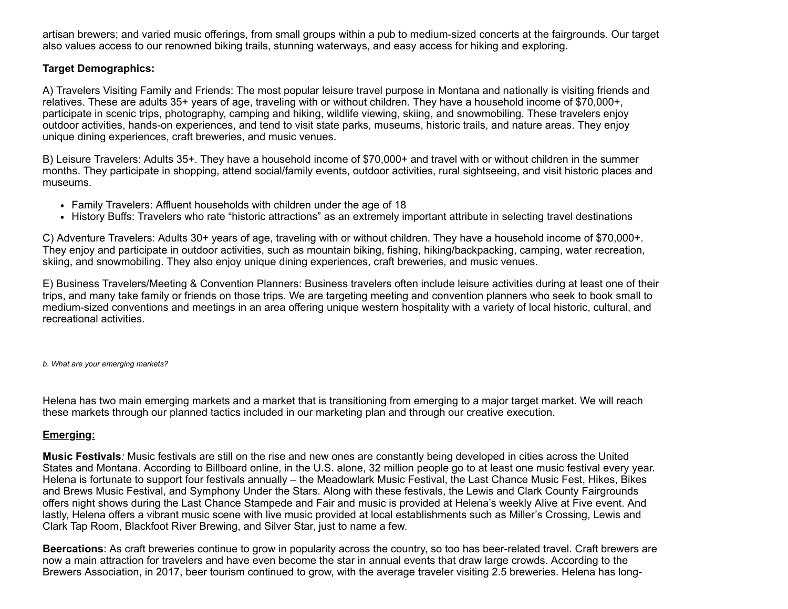artisan brewers; and varied music offerings, from small groups within a pub to medium-sized concerts at the fairgrounds. Our target also values access to our renowned biking trails, stunning waterways, and easy access for hiking and exploring.

## **Target Demographics:**

A) Travelers Visiting Family and Friends: The most popular leisure travel purpose in Montana and nationally is visiting friends and relatives. These are adults 35+ years of age, traveling with or without children. They have a household income of \$70,000+, participate in scenic trips, photography, camping and hiking, wildlife viewing, skiing, and snowmobiling. These travelers enjoy outdoor activities, hands-on experiences, and tend to visit state parks, museums, historic trails, and nature areas. They enjoy unique dining experiences, craft breweries, and music venues.

B) Leisure Travelers: Adults 35+. They have a household income of \$70,000+ and travel with or without children in the summer months. They participate in shopping, attend social/family events, outdoor activities, rural sightseeing, and visit historic places and museums.

- Family Travelers: Affluent households with children under the age of 18
- History Buffs: Travelers who rate "historic attractions" as an extremely important attribute in selecting travel destinations

C) Adventure Travelers: Adults 30+ years of age, traveling with or without children. They have a household income of \$70,000+. They enjoy and participate in outdoor activities, such as mountain biking, fishing, hiking/backpacking, camping, water recreation, skiing, and snowmobiling. They also enjoy unique dining experiences, craft breweries, and music venues.

E) Business Travelers/Meeting & Convention Planners: Business travelers often include leisure activities during at least one of their trips, and many take family or friends on those trips. We are targeting meeting and convention planners who seek to book small to medium-sized conventions and meetings in an area offering unique western hospitality with a variety of local historic, cultural, and recreational activities.

*b. What are your emerging markets?*

Helena has two main emerging markets and a market that is transitioning from emerging to a major target market. We will reach these markets through our planned tactics included in our marketing plan and through our creative execution.

# **Emerging:**

**Music Festivals***:* Music festivals are still on the rise and new ones are constantly being developed in cities across the United States and Montana. According to Billboard online, in the U.S. alone, 32 million people go to at least one music festival every year. Helena is fortunate to support four festivals annually – the Meadowlark Music Festival, the Last Chance Music Fest, Hikes, Bikes and Brews Music Festival, and Symphony Under the Stars. Along with these festivals, the Lewis and Clark County Fairgrounds offers night shows during the Last Chance Stampede and Fair and music is provided at Helena's weekly Alive at Five event. And lastly, Helena offers a vibrant music scene with live music provided at local establishments such as Miller's Crossing, Lewis and Clark Tap Room, Blackfoot River Brewing, and Silver Star, just to name a few.

**Beercations**: As craft breweries continue to grow in popularity across the country, so too has beer-related travel. Craft brewers are now a main attraction for travelers and have even become the star in annual events that draw large crowds. According to the Brewers Association, in 2017, beer tourism continued to grow, with the average traveler visiting 2.5 breweries. Helena has long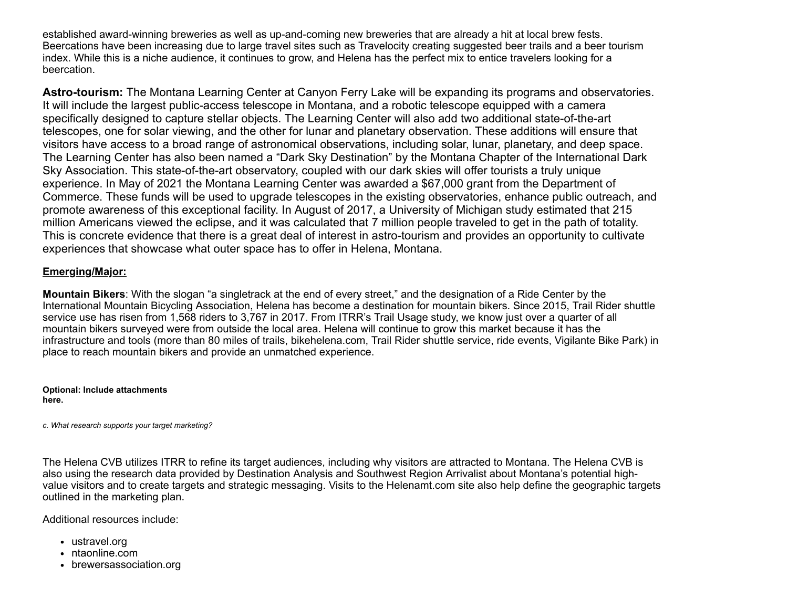established award-winning breweries as well as up-and-coming new breweries that are already a hit at local brew fests. Beercations have been increasing due to large travel sites such as Travelocity creating suggested beer trails and a beer tourism index. While this is a niche audience, it continues to grow, and Helena has the perfect mix to entice travelers looking for a beercation.

**Astro-tourism:** The Montana Learning Center at Canyon Ferry Lake will be expanding its programs and observatories. It will include the largest public-access telescope in Montana, and a robotic telescope equipped with a camera specifically designed to capture stellar objects. The Learning Center will also add two additional state-of-the-art telescopes, one for solar viewing, and the other for lunar and planetary observation. These additions will ensure that visitors have access to a broad range of astronomical observations, including solar, lunar, planetary, and deep space. The Learning Center has also been named a "Dark Sky Destination" by the Montana Chapter of the International Dark Sky Association. This state-of-the-art observatory, coupled with our dark skies will offer tourists a truly unique experience. In May of 2021 the Montana Learning Center was awarded a \$67,000 grant from the Department of Commerce. These funds will be used to upgrade telescopes in the existing observatories, enhance public outreach, and promote awareness of this exceptional facility. In August of 2017, a University of Michigan study estimated that 215 million Americans viewed the eclipse, and it was calculated that 7 million people traveled to get in the path of totality. This is concrete evidence that there is a great deal of interest in astro-tourism and provides an opportunity to cultivate experiences that showcase what outer space has to offer in Helena, Montana.

## **Emerging/Major:**

**Mountain Bikers**: With the slogan "a singletrack at the end of every street," and the designation of a Ride Center by the International Mountain Bicycling Association, Helena has become a destination for mountain bikers. Since 2015, Trail Rider shuttle service use has risen from 1,568 riders to 3,767 in 2017. From ITRR's Trail Usage study, we know just over a quarter of all mountain bikers surveyed were from outside the local area. Helena will continue to grow this market because it has the infrastructure and tools (more than 80 miles of trails, bikehelena.com, Trail Rider shuttle service, ride events, Vigilante Bike Park) in place to reach mountain bikers and provide an unmatched experience.

**Optional: Include attachments here.**

*c. What research supports your target marketing?*

The Helena CVB utilizes ITRR to refine its target audiences, including why visitors are attracted to Montana. The Helena CVB is also using the research data provided by Destination Analysis and Southwest Region Arrivalist about Montana's potential highvalue visitors and to create targets and strategic messaging. Visits to the Helenamt.com site also help define the geographic targets outlined in the marketing plan.

Additional resources include:

- ustravel.org
- ntaonline.com
- brewersassociation.org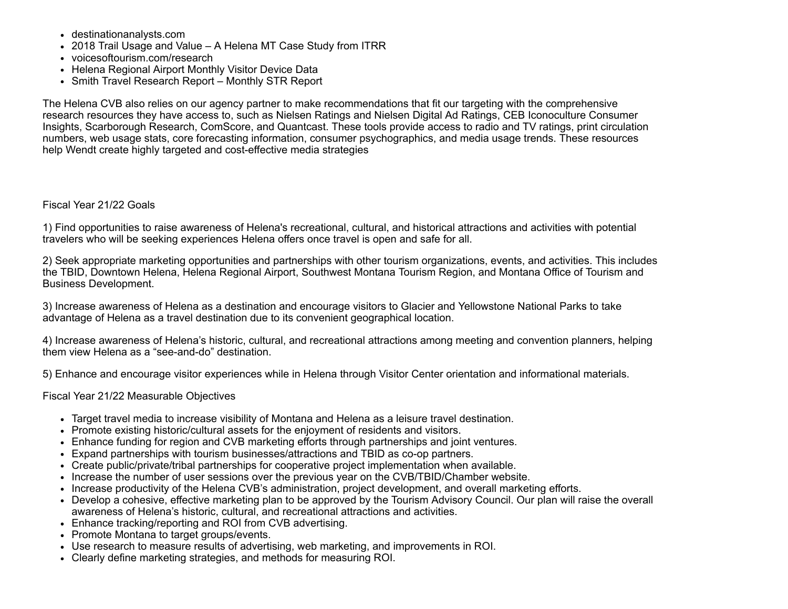- destinationanalysts.com
- 2018 Trail Usage and Value A Helena MT Case Study from ITRR
- voicesoftourism.com/research
- Helena Regional Airport Monthly Visitor Device Data
- Smith Travel Research Report Monthly STR Report

The Helena CVB also relies on our agency partner to make recommendations that fit our targeting with the comprehensive research resources they have access to, such as Nielsen Ratings and Nielsen Digital Ad Ratings, CEB Iconoculture Consumer Insights, Scarborough Research, ComScore, and Quantcast. These tools provide access to radio and TV ratings, print circulation numbers, web usage stats, core forecasting information, consumer psychographics, and media usage trends. These resources help Wendt create highly targeted and cost-effective media strategies

### Fiscal Year 21/22 Goals

1) Find opportunities to raise awareness of Helena's recreational, cultural, and historical attractions and activities with potential travelers who will be seeking experiences Helena offers once travel is open and safe for all.

2) Seek appropriate marketing opportunities and partnerships with other tourism organizations, events, and activities. This includes the TBID, Downtown Helena, Helena Regional Airport, Southwest Montana Tourism Region, and Montana Office of Tourism and Business Development.

3) Increase awareness of Helena as a destination and encourage visitors to Glacier and Yellowstone National Parks to take advantage of Helena as a travel destination due to its convenient geographical location.

4) Increase awareness of Helena's historic, cultural, and recreational attractions among meeting and convention planners, helping them view Helena as a "see-and-do" destination.

5) Enhance and encourage visitor experiences while in Helena through Visitor Center orientation and informational materials.

Fiscal Year 21/22 Measurable Objectives

- Target travel media to increase visibility of Montana and Helena as a leisure travel destination.
- Promote existing historic/cultural assets for the enjoyment of residents and visitors.
- Enhance funding for region and CVB marketing efforts through partnerships and joint ventures.
- Expand partnerships with tourism businesses/attractions and TBID as co-op partners.
- Create public/private/tribal partnerships for cooperative project implementation when available.
- Increase the number of user sessions over the previous year on the CVB/TBID/Chamber website.
- Increase productivity of the Helena CVB's administration, project development, and overall marketing efforts.
- Develop a cohesive, effective marketing plan to be approved by the Tourism Advisory Council. Our plan will raise the overall awareness of Helena's historic, cultural, and recreational attractions and activities.
- Enhance tracking/reporting and ROI from CVB advertising.
- Promote Montana to target groups/events.
- Use research to measure results of advertising, web marketing, and improvements in ROI.
- Clearly define marketing strategies, and methods for measuring ROI.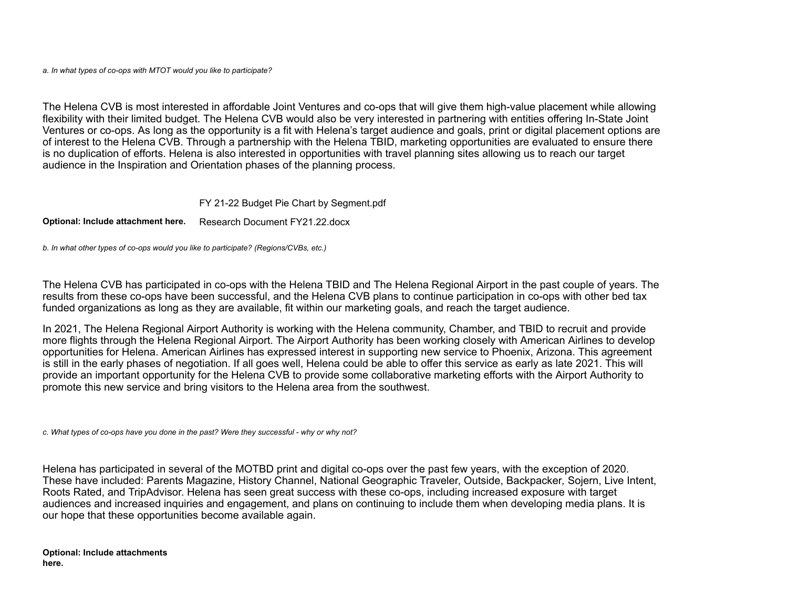*a. In what types of co-ops with MTOT would you like to participate?*

The Helena CVB is most interested in affordable Joint Ventures and co-ops that will give them high-value placement while allowing flexibility with their limited budget. The Helena CVB would also be very interested in partnering with entities offering In-State Joint Ventures or co-ops. As long as the opportunity is a fit with Helena's target audience and goals, print or digital placement options are of interest to the Helena CVB. Through a partnership with the Helena TBID, marketing opportunities are evaluated to ensure there is no duplication of efforts. Helena is also interested in opportunities with travel planning sites allowing us to reach our target audience in the Inspiration and Orientation phases of the planning process.

FY 21-22 Budget Pie Chart by [Segment.pdf](https://funding.mt.gov/fileDownload.jsp?filename=1618506343578_FY+21-22+Budget+Pie+Chart+by+Segment.pdf)

**Optional: Include attachment here.** Research Document [FY21.22.docx](https://funding.mt.gov/fileDownload.jsp?filename=1618436661443_Research+Document+FY21.22.docx)

*b. In what other types of co-ops would you like to participate? (Regions/CVBs, etc.)*

The Helena CVB has participated in co-ops with the Helena TBID and The Helena Regional Airport in the past couple of years. The results from these co-ops have been successful, and the Helena CVB plans to continue participation in co-ops with other bed tax funded organizations as long as they are available, fit within our marketing goals, and reach the target audience.

In 2021, The Helena Regional Airport Authority is working with the Helena community, Chamber, and TBID to recruit and provide more flights through the Helena Regional Airport. The Airport Authority has been working closely with American Airlines to develop opportunities for Helena. American Airlines has expressed interest in supporting new service to Phoenix, Arizona. This agreement is still in the early phases of negotiation. If all goes well, Helena could be able to offer this service as early as late 2021. This will provide an important opportunity for the Helena CVB to provide some collaborative marketing efforts with the Airport Authority to promote this new service and bring visitors to the Helena area from the southwest.

*c. What types of co-ops have you done in the past? Were they successful - why or why not?*

Helena has participated in several of the MOTBD print and digital co-ops over the past few years, with the exception of 2020. These have included: Parents Magazine, History Channel, National Geographic Traveler, Outside, Backpacker*,* Sojern, Live Intent, Roots Rated, and TripAdvisor. Helena has seen great success with these co-ops, including increased exposure with target audiences and increased inquiries and engagement, and plans on continuing to include them when developing media plans. It is our hope that these opportunities become available again.

**Optional: Include attachments here.**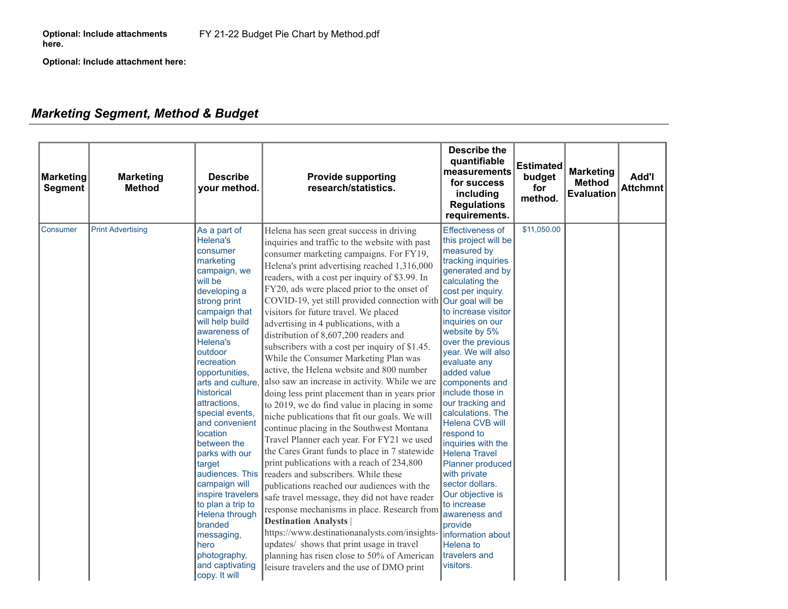**Optional: Include attachment here:**

# *Marketing Segment, Method & Budget*

| <b>Marketing</b><br><b>Segment</b> | <b>Marketing</b><br><b>Method</b> | <b>Describe</b><br>your method.                                                                                                                                                                                                                                                                                                                                                                                                                                                                                                                             | <b>Provide supporting</b><br>research/statistics.                                                                                                                                                                                                                                                                                                                                                                                                                                                                                                                                                                                                                                                                                                                                                                                                                                                                                                                                                                                                                                                                                                                                                                                                                                                                                                                                                                                           | <b>Describe the</b><br>quantifiable<br>measurements<br>for success<br>including<br><b>Regulations</b><br>requirements.                                                                                                                                                                                                                                                                                                                                                                                                                                                                                                                                   | <b>Estimated</b><br>budget<br>for<br>method. | <b>Marketing</b><br><b>Method</b><br><b>Evaluation</b> | Add'l<br><b>Attchmnt</b> |
|------------------------------------|-----------------------------------|-------------------------------------------------------------------------------------------------------------------------------------------------------------------------------------------------------------------------------------------------------------------------------------------------------------------------------------------------------------------------------------------------------------------------------------------------------------------------------------------------------------------------------------------------------------|---------------------------------------------------------------------------------------------------------------------------------------------------------------------------------------------------------------------------------------------------------------------------------------------------------------------------------------------------------------------------------------------------------------------------------------------------------------------------------------------------------------------------------------------------------------------------------------------------------------------------------------------------------------------------------------------------------------------------------------------------------------------------------------------------------------------------------------------------------------------------------------------------------------------------------------------------------------------------------------------------------------------------------------------------------------------------------------------------------------------------------------------------------------------------------------------------------------------------------------------------------------------------------------------------------------------------------------------------------------------------------------------------------------------------------------------|----------------------------------------------------------------------------------------------------------------------------------------------------------------------------------------------------------------------------------------------------------------------------------------------------------------------------------------------------------------------------------------------------------------------------------------------------------------------------------------------------------------------------------------------------------------------------------------------------------------------------------------------------------|----------------------------------------------|--------------------------------------------------------|--------------------------|
| <b>Consumer</b>                    | <b>Print Advertising</b>          | As a part of<br>Helena's<br>consumer<br>marketing<br>campaign, we<br>will be<br>developing a<br>strong print<br>campaign that<br>will help build<br>awareness of<br>Helena's<br>outdoor<br>recreation<br>opportunities,<br>arts and culture.<br>historical<br>attractions,<br>special events,<br>and convenient<br>location<br>between the<br>parks with our<br>target<br>audiences. This<br>campaign will<br>inspire travelers<br>to plan a trip to<br>Helena through<br>branded<br>messaging,<br>hero<br>photography,<br>and captivating<br>copy. It will | Helena has seen great success in driving<br>inquiries and traffic to the website with past<br>consumer marketing campaigns. For FY19,<br>Helena's print advertising reached 1,316,000<br>readers, with a cost per inquiry of \$3.99. In<br>FY20, ads were placed prior to the onset of<br>COVID-19, yet still provided connection with Our goal will be<br>visitors for future travel. We placed<br>advertising in 4 publications, with a<br>distribution of 8,607,200 readers and<br>subscribers with a cost per inquiry of \$1.45.<br>While the Consumer Marketing Plan was<br>active, the Helena website and 800 number<br>also saw an increase in activity. While we are<br>doing less print placement than in years prior<br>to 2019, we do find value in placing in some<br>niche publications that fit our goals. We will<br>continue placing in the Southwest Montana<br>Travel Planner each year. For FY21 we used<br>the Cares Grant funds to place in 7 statewide<br>print publications with a reach of 234,800<br>readers and subscribers. While these<br>publications reached our audiences with the<br>safe travel message, they did not have reader<br>response mechanisms in place. Research from<br><b>Destination Analysts</b><br>https://www.destinationanalysts.com/insights-<br>updates/ shows that print usage in travel<br>planning has risen close to 50% of American<br>leisure travelers and the use of DMO print | <b>Effectiveness of</b><br>this project will be<br>measured by<br>tracking inquiries<br>generated and by<br>calculating the<br>cost per inquiry.<br>to increase visitor<br>inquiries on our<br>website by 5%<br>over the previous<br>year. We will also<br>evaluate any<br>added value<br>components and<br>include those in<br>our tracking and<br>calculations. The<br><b>Helena CVB will</b><br>respond to<br>inquiries with the<br><b>Helena Travel</b><br><b>Planner produced</b><br>with private<br>sector dollars.<br>Our objective is<br>to increase<br>awareness and<br>provide<br>Information about<br>Helena to<br>travelers and<br>visitors. | \$11,050.00                                  |                                                        |                          |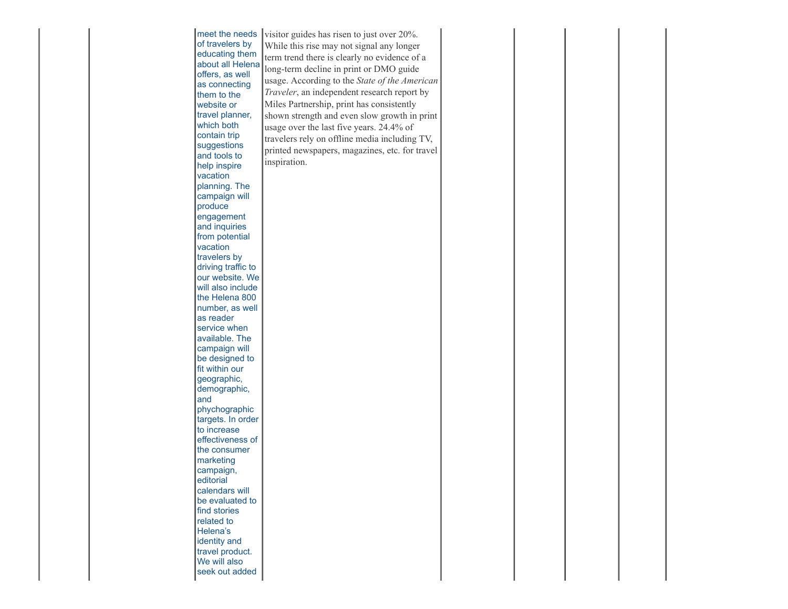| of travelers by<br>educating them<br>about all Helena<br>offers, as well<br>as connecting<br>them to the<br>website or<br>travel planner,<br>which both<br>contain trip<br>suggestions<br>and tools to<br>help inspire<br>vacation<br>planning. The<br>campaign will<br>produce<br>engagement<br>and inquiries<br>from potential<br>vacation<br>travelers by<br>driving traffic to<br>our website. We<br>will also include<br>the Helena 800<br>number, as well<br>as reader<br>service when<br>available. The<br>campaign will<br>be designed to<br>fit within our<br>geographic,<br>demographic,<br>and<br>phychographic<br>targets. In order<br>to increase<br>effectiveness of<br>the consumer<br>marketing<br>campaign,<br>editorial<br>calendars will<br>be evaluated to<br>find stories<br>related to<br>Helena's<br>identity and<br>travel product.<br>We will also<br>seek out added | While this rise may not signal any longer<br>term trend there is clearly no evidence of a<br>long-term decline in print or DMO guide<br>usage. According to the State of the American<br>Traveler, an independent research report by<br>Miles Partnership, print has consistently<br>shown strength and even slow growth in print<br>usage over the last five years. 24.4% of<br>travelers rely on offline media including TV,<br>printed newspapers, magazines, etc. for travel<br>inspiration. |  |  |  |  |  |
|-----------------------------------------------------------------------------------------------------------------------------------------------------------------------------------------------------------------------------------------------------------------------------------------------------------------------------------------------------------------------------------------------------------------------------------------------------------------------------------------------------------------------------------------------------------------------------------------------------------------------------------------------------------------------------------------------------------------------------------------------------------------------------------------------------------------------------------------------------------------------------------------------|--------------------------------------------------------------------------------------------------------------------------------------------------------------------------------------------------------------------------------------------------------------------------------------------------------------------------------------------------------------------------------------------------------------------------------------------------------------------------------------------------|--|--|--|--|--|
|-----------------------------------------------------------------------------------------------------------------------------------------------------------------------------------------------------------------------------------------------------------------------------------------------------------------------------------------------------------------------------------------------------------------------------------------------------------------------------------------------------------------------------------------------------------------------------------------------------------------------------------------------------------------------------------------------------------------------------------------------------------------------------------------------------------------------------------------------------------------------------------------------|--------------------------------------------------------------------------------------------------------------------------------------------------------------------------------------------------------------------------------------------------------------------------------------------------------------------------------------------------------------------------------------------------------------------------------------------------------------------------------------------------|--|--|--|--|--|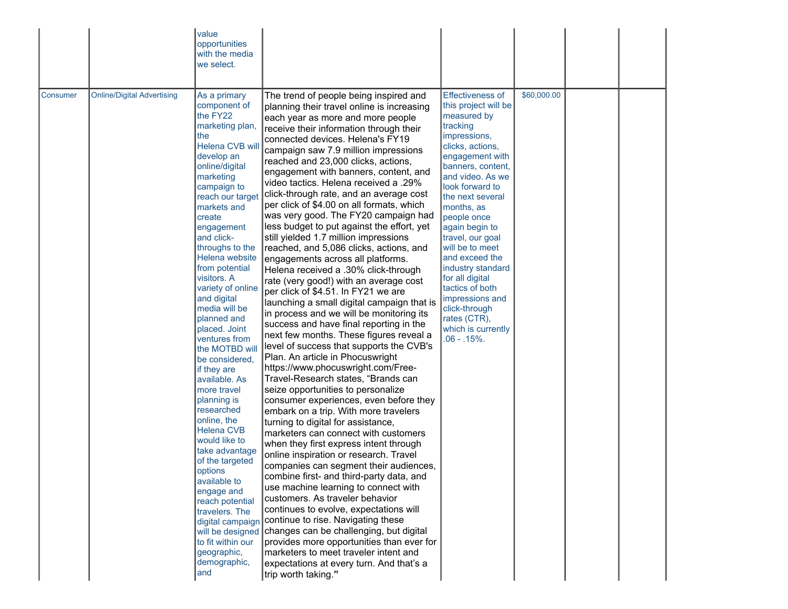|          |                                   | value<br>opportunities<br>with the media<br>we select.                                                                                                                                                                                                                                                                                                                                                                                                                                                                                                                                                                                                                                                                                                                                            |                                                                                                                                                                                                                                                                                                                                                                                                                                                                                                                                                                                                                                                                                                                                                                                                                                                                                                                                                                                                                                                                                                                                                                                                                                                                                                                                                                                                                                                                                                                                                                                                                                                                                                                                                                                                                                                                                                        |                                                                                                                                                                                                                                                                                                                                                                                                                                                                                  |             |  |
|----------|-----------------------------------|---------------------------------------------------------------------------------------------------------------------------------------------------------------------------------------------------------------------------------------------------------------------------------------------------------------------------------------------------------------------------------------------------------------------------------------------------------------------------------------------------------------------------------------------------------------------------------------------------------------------------------------------------------------------------------------------------------------------------------------------------------------------------------------------------|--------------------------------------------------------------------------------------------------------------------------------------------------------------------------------------------------------------------------------------------------------------------------------------------------------------------------------------------------------------------------------------------------------------------------------------------------------------------------------------------------------------------------------------------------------------------------------------------------------------------------------------------------------------------------------------------------------------------------------------------------------------------------------------------------------------------------------------------------------------------------------------------------------------------------------------------------------------------------------------------------------------------------------------------------------------------------------------------------------------------------------------------------------------------------------------------------------------------------------------------------------------------------------------------------------------------------------------------------------------------------------------------------------------------------------------------------------------------------------------------------------------------------------------------------------------------------------------------------------------------------------------------------------------------------------------------------------------------------------------------------------------------------------------------------------------------------------------------------------------------------------------------------------|----------------------------------------------------------------------------------------------------------------------------------------------------------------------------------------------------------------------------------------------------------------------------------------------------------------------------------------------------------------------------------------------------------------------------------------------------------------------------------|-------------|--|
| Consumer | <b>Online/Digital Advertising</b> | As a primary<br>component of<br>the FY22<br>marketing plan,<br>the<br>Helena CVB will<br>develop an<br>online/digital<br>marketing<br>campaign to<br>reach our target<br>markets and<br>create<br>engagement<br>and click-<br>throughs to the<br>Helena website<br>from potential<br>visitors. A<br>variety of online<br>and digital<br>media will be<br>planned and<br>placed. Joint<br>ventures from<br>the MOTBD will<br>be considered,<br>if they are<br>available. As<br>more travel<br>planning is<br>researched<br>online, the<br><b>Helena CVB</b><br>would like to<br>take advantage<br>of the targeted<br>options<br>available to<br>engage and<br>reach potential<br>travelers. The<br>digital campaign<br>will be designed<br>to fit within our<br>geographic,<br>demographic,<br>and | The trend of people being inspired and<br>planning their travel online is increasing<br>each year as more and more people<br>receive their information through their<br>connected devices. Helena's FY19<br>campaign saw 7.9 million impressions<br>reached and 23,000 clicks, actions,<br>engagement with banners, content, and<br>yideo tactics. Helena received a .29%<br>click-through rate, and an average cost<br>per click of \$4.00 on all formats, which<br>was very good. The FY20 campaign had<br>less budget to put against the effort, yet<br>still yielded 1.7 million impressions<br>reached, and 5,086 clicks, actions, and<br>engagements across all platforms.<br>Helena received a .30% click-through<br>rate (very good!) with an average cost<br>per click of \$4.51. In FY21 we are<br>launching a small digital campaign that is<br>in process and we will be monitoring its<br>success and have final reporting in the<br>next few months. These figures reveal a<br>level of success that supports the CVB's<br>Plan. An article in Phocuswright<br>https://www.phocuswright.com/Free-<br>Travel-Research states, "Brands can<br>seize opportunities to personalize<br>consumer experiences, even before they<br>embark on a trip. With more travelers<br>turning to digital for assistance,<br>marketers can connect with customers<br>when they first express intent through<br>online inspiration or research. Travel<br>companies can segment their audiences,<br>combine first- and third-party data, and<br>use machine learning to connect with<br>customers. As traveler behavior<br>continues to evolve, expectations will<br>continue to rise. Navigating these<br>changes can be challenging, but digital<br>provides more opportunities than ever for<br>marketers to meet traveler intent and<br>expectations at every turn. And that's a<br>trip worth taking." | <b>Effectiveness of</b><br>this project will be<br>measured by<br>tracking<br>impressions,<br>clicks, actions,<br>engagement with<br>banners, content,<br>and video. As we<br>look forward to<br>the next several<br>months, as<br>people once<br>again begin to<br>travel, our goal<br>will be to meet<br>and exceed the<br>industry standard<br>for all digital<br>tactics of both<br>impressions and<br>click-through<br>rates (CTR),<br>which is currently<br>$.06 - .15%$ . | \$60,000.00 |  |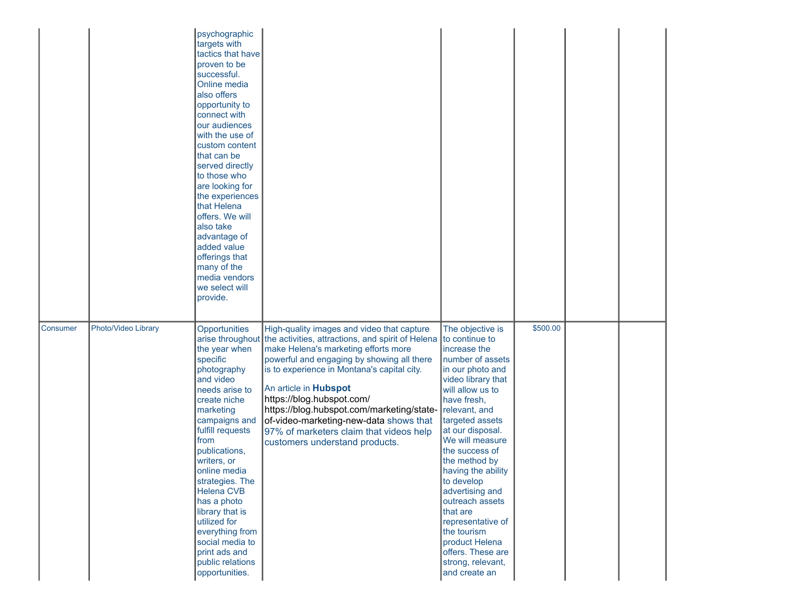|          |                     | psychographic<br>targets with<br>tactics that have<br>proven to be<br>successful.<br>Online media<br>also offers<br>opportunity to<br>connect with<br>our audiences<br>with the use of<br>custom content<br>that can be<br>served directly<br>to those who<br>are looking for<br>the experiences<br>that Helena<br>offers. We will<br>also take<br>advantage of<br>added value<br>offerings that<br>many of the<br>media vendors<br>we select will<br>provide. |                                                                                                                                                                                                                                                                                                                                                                                                                                                                |                                                                                                                                                                                                                                                                                                                                                                                                                                                                          |          |  |
|----------|---------------------|----------------------------------------------------------------------------------------------------------------------------------------------------------------------------------------------------------------------------------------------------------------------------------------------------------------------------------------------------------------------------------------------------------------------------------------------------------------|----------------------------------------------------------------------------------------------------------------------------------------------------------------------------------------------------------------------------------------------------------------------------------------------------------------------------------------------------------------------------------------------------------------------------------------------------------------|--------------------------------------------------------------------------------------------------------------------------------------------------------------------------------------------------------------------------------------------------------------------------------------------------------------------------------------------------------------------------------------------------------------------------------------------------------------------------|----------|--|
| Consumer | Photo/Video Library | Opportunities<br>arise throughout<br>the year when<br>specific<br>photography<br>and video<br>needs arise to<br>create niche<br>marketing<br>campaigns and<br>fulfill requests<br>from<br>publications,<br>writers, or<br>online media<br>strategies. The<br><b>Helena CVB</b><br>has a photo<br>library that is<br>utilized for<br>everything from<br>social media to<br>print ads and<br>public relations<br>opportunities.                                  | High-quality images and video that capture<br>the activities, attractions, and spirit of Helena<br>make Helena's marketing efforts more<br>powerful and engaging by showing all there<br>is to experience in Montana's capital city.<br>An article in Hubspot<br>https://blog.hubspot.com/<br>https://blog.hubspot.com/marketing/state-<br>of-video-marketing-new-data shows that<br>97% of marketers claim that videos help<br>customers understand products. | The objective is<br>to continue to<br>increase the<br>number of assets<br>in our photo and<br>video library that<br>will allow us to<br>have fresh,<br>relevant, and<br>targeted assets<br>at our disposal.<br>We will measure<br>the success of<br>the method by<br>having the ability<br>to develop<br>advertising and<br>outreach assets<br>that are<br>representative of<br>the tourism<br>product Helena<br>offers. These are<br>strong, relevant,<br>and create an | \$500.00 |  |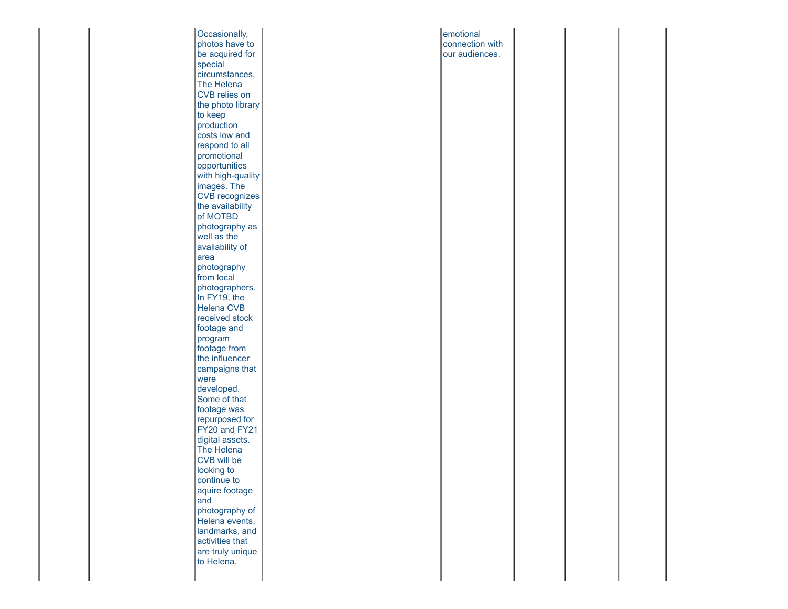| Occasionally,           | emotional       |  |  |
|-------------------------|-----------------|--|--|
| photos have to          | connection with |  |  |
| be acquired for         | our audiences.  |  |  |
| special                 |                 |  |  |
| circumstances.          |                 |  |  |
| The Helena              |                 |  |  |
| CVB relies on           |                 |  |  |
| the photo library       |                 |  |  |
| to keep                 |                 |  |  |
| production              |                 |  |  |
| costs low and           |                 |  |  |
| respond to all          |                 |  |  |
| promotional             |                 |  |  |
| opportunities           |                 |  |  |
| with high-quality       |                 |  |  |
| images. The             |                 |  |  |
| CVB recognizes          |                 |  |  |
| the availability        |                 |  |  |
| of MOTBD                |                 |  |  |
|                         |                 |  |  |
| photography as          |                 |  |  |
| well as the             |                 |  |  |
| availability of<br>area |                 |  |  |
|                         |                 |  |  |
| photography             |                 |  |  |
| from local              |                 |  |  |
| photographers.          |                 |  |  |
| In FY19, the            |                 |  |  |
| <b>Helena CVB</b>       |                 |  |  |
| received stock          |                 |  |  |
| footage and             |                 |  |  |
| program                 |                 |  |  |
| footage from            |                 |  |  |
| the influencer          |                 |  |  |
| campaigns that          |                 |  |  |
| were                    |                 |  |  |
| developed.              |                 |  |  |
| Some of that            |                 |  |  |
| footage was             |                 |  |  |
| repurposed for          |                 |  |  |
| FY20 and FY21           |                 |  |  |
| digital assets.         |                 |  |  |
| The Helena              |                 |  |  |
| CVB will be             |                 |  |  |
| looking to              |                 |  |  |
| continue to             |                 |  |  |
| aquire footage          |                 |  |  |
| and                     |                 |  |  |
| photography of          |                 |  |  |
| Helena events,          |                 |  |  |
| landmarks, and          |                 |  |  |
| activities that         |                 |  |  |
| are truly unique        |                 |  |  |
| to Helena.              |                 |  |  |
|                         |                 |  |  |
|                         |                 |  |  |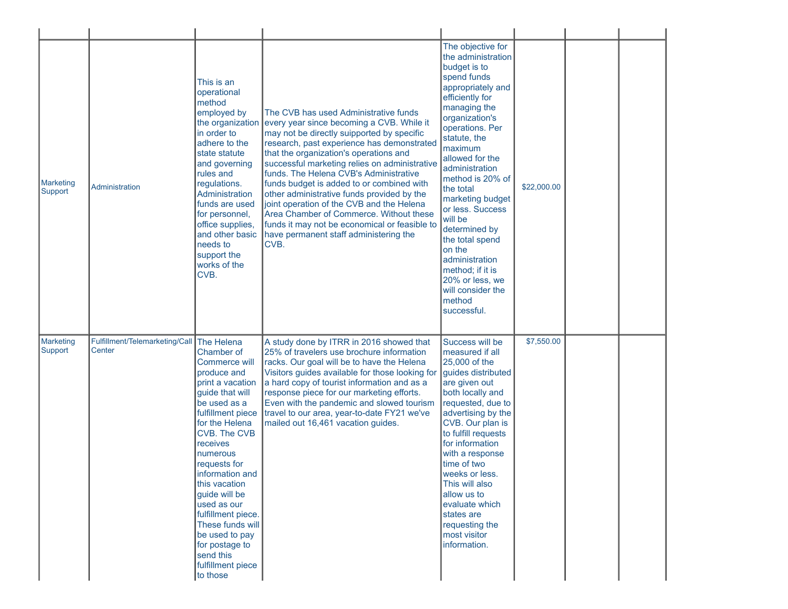| Marketing<br>Support | Administration                           | This is an<br>operational<br>method<br>employed by<br>in order to<br>adhere to the<br>state statute<br>and governing<br>rules and<br>regulations.<br>Administration<br>funds are used<br>for personnel,<br>office supplies,<br>and other basic<br>needs to<br>support the<br>works of the<br>CVB.                                                                                                                     | The CVB has used Administrative funds<br>the organization every year since becoming a CVB. While it<br>may not be directly suipported by specific<br>research, past experience has demonstrated<br>that the organization's operations and<br>successful marketing relies on administrative<br>funds. The Helena CVB's Administrative<br>funds budget is added to or combined with<br>other administrative funds provided by the<br>joint operation of the CVB and the Helena<br>Area Chamber of Commerce. Without these<br>funds it may not be economical or feasible to<br>have permanent staff administering the<br>CVB. | The objective for<br>the administration<br>budget is to<br>spend funds<br>appropriately and<br>efficiently for<br>managing the<br>organization's<br>operations. Per<br>statute, the<br>maximum<br>allowed for the<br>administration<br>method is 20% of<br>the total<br>marketing budget<br>or less. Success<br>will be<br>determined by<br>the total spend<br>on the<br>administration<br>method; if it is<br>20% or less, we<br>will consider the<br>method<br>successful. | \$22,000.00 |  |
|----------------------|------------------------------------------|-----------------------------------------------------------------------------------------------------------------------------------------------------------------------------------------------------------------------------------------------------------------------------------------------------------------------------------------------------------------------------------------------------------------------|----------------------------------------------------------------------------------------------------------------------------------------------------------------------------------------------------------------------------------------------------------------------------------------------------------------------------------------------------------------------------------------------------------------------------------------------------------------------------------------------------------------------------------------------------------------------------------------------------------------------------|------------------------------------------------------------------------------------------------------------------------------------------------------------------------------------------------------------------------------------------------------------------------------------------------------------------------------------------------------------------------------------------------------------------------------------------------------------------------------|-------------|--|
| Marketing<br>Support | Fulfillment/Telemarketing/Call<br>Center | The Helena<br>Chamber of<br><b>Commerce will</b><br>produce and<br>print a vacation<br>guide that will<br>be used as a<br>fulfillment piece<br>for the Helena<br>CVB. The CVB<br>receives<br>numerous<br>requests for<br>information and<br>this vacation<br>guide will be<br>used as our<br>fulfillment piece.<br>These funds will<br>be used to pay<br>for postage to<br>send this<br>fulfillment piece<br>to those | A study done by ITRR in 2016 showed that<br>25% of travelers use brochure information<br>racks. Our goal will be to have the Helena<br>Visitors guides available for those looking for<br>a hard copy of tourist information and as a<br>response piece for our marketing efforts.<br>Even with the pandemic and slowed tourism<br>travel to our area, year-to-date FY21 we've<br>mailed out 16,461 vacation guides.                                                                                                                                                                                                       | Success will be<br>measured if all<br>25,000 of the<br>guides distributed<br>are given out<br>both locally and<br>requested, due to<br>advertising by the<br>CVB. Our plan is<br>to fulfill requests<br>for information<br>with a response<br>time of two<br>weeks or less.<br>This will also<br>allow us to<br>evaluate which<br>states are<br>requesting the<br>most visitor<br>information.                                                                               | \$7,550.00  |  |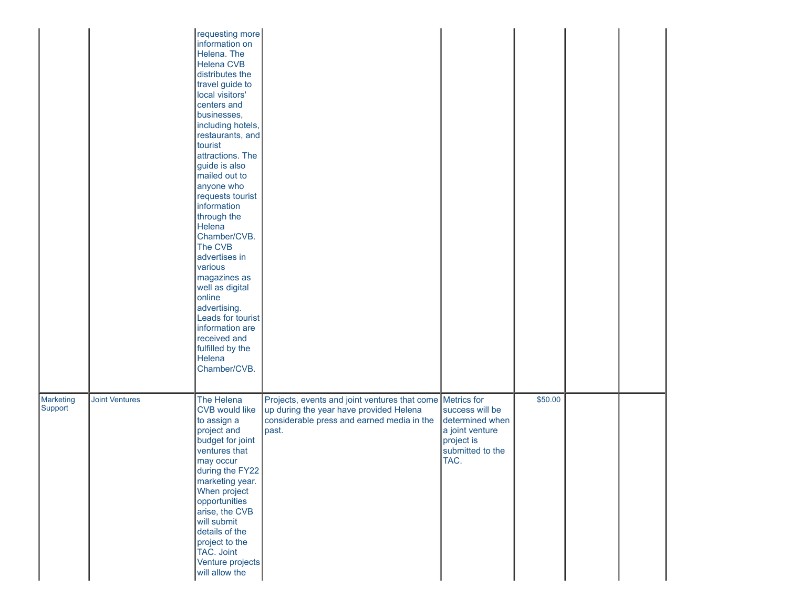|                      |                       | requesting more<br>information on<br>Helena. The<br><b>Helena CVB</b><br>distributes the<br>travel guide to<br>local visitors'<br>centers and<br>businesses,<br>including hotels,<br>restaurants, and<br>tourist<br>attractions. The<br>guide is also<br>mailed out to<br>anyone who<br>requests tourist<br>information<br>through the<br>Helena<br>Chamber/CVB.<br>The CVB<br>advertises in<br>various<br>magazines as<br>well as digital<br>online<br>advertising.<br>Leads for tourist<br>information are<br>received and<br>fulfilled by the<br>Helena<br>Chamber/CVB. |                                                                                                                                                             |                                                                                                 |         |  |  |
|----------------------|-----------------------|----------------------------------------------------------------------------------------------------------------------------------------------------------------------------------------------------------------------------------------------------------------------------------------------------------------------------------------------------------------------------------------------------------------------------------------------------------------------------------------------------------------------------------------------------------------------------|-------------------------------------------------------------------------------------------------------------------------------------------------------------|-------------------------------------------------------------------------------------------------|---------|--|--|
| Marketing<br>Support | <b>Joint Ventures</b> | The Helena<br><b>CVB would like</b><br>to assign a<br>project and<br>budget for joint<br>ventures that<br>may occur<br>during the FY22<br>marketing year.<br>When project<br>opportunities<br>arise, the CVB<br>will submit<br>details of the<br>project to the<br>TAC. Joint<br>Venture projects<br>will allow the                                                                                                                                                                                                                                                        | Projects, events and joint ventures that come Metrics for<br>up during the year have provided Helena<br>considerable press and earned media in the<br>past. | success will be<br>determined when<br>a joint venture<br>project is<br>submitted to the<br>TAC. | \$50.00 |  |  |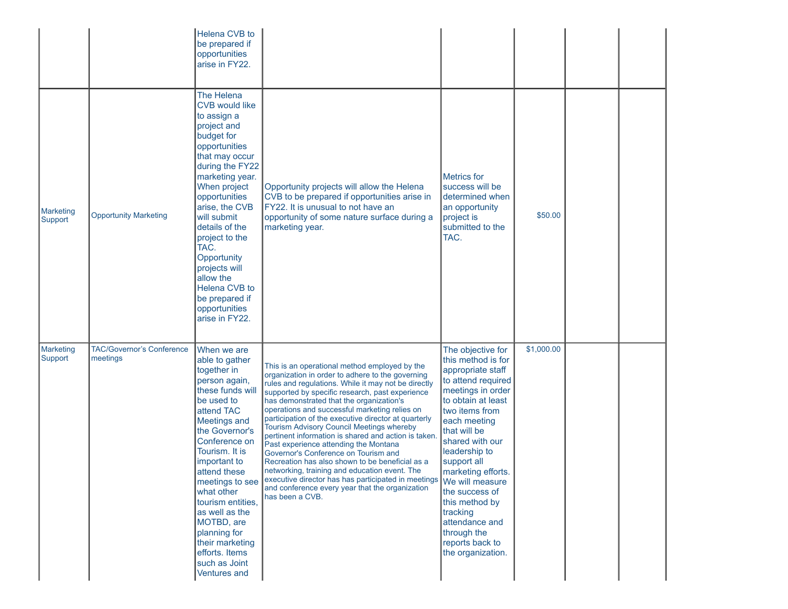|                             |                                              | Helena CVB to<br>be prepared if<br>opportunities<br>arise in FY22.                                                                                                                                                                                                                                                                                                                                           |                                                                                                                                                                                                                                                                                                                                                                                                                                                                                                                                                                                                                                                                                                                                                                                                        |                                                                                                                                                                                                                                                                                                                                                                                   |            |  |
|-----------------------------|----------------------------------------------|--------------------------------------------------------------------------------------------------------------------------------------------------------------------------------------------------------------------------------------------------------------------------------------------------------------------------------------------------------------------------------------------------------------|--------------------------------------------------------------------------------------------------------------------------------------------------------------------------------------------------------------------------------------------------------------------------------------------------------------------------------------------------------------------------------------------------------------------------------------------------------------------------------------------------------------------------------------------------------------------------------------------------------------------------------------------------------------------------------------------------------------------------------------------------------------------------------------------------------|-----------------------------------------------------------------------------------------------------------------------------------------------------------------------------------------------------------------------------------------------------------------------------------------------------------------------------------------------------------------------------------|------------|--|
| <b>Marketing</b><br>Support | <b>Opportunity Marketing</b>                 | The Helena<br><b>CVB would like</b><br>to assign a<br>project and<br>budget for<br>opportunities<br>that may occur<br>during the FY22<br>marketing year.<br>When project<br>opportunities<br>arise, the CVB<br>will submit<br>details of the<br>project to the<br>TAC.<br>Opportunity<br>projects will<br>allow the<br>Helena CVB to<br>be prepared if<br>opportunities<br>arise in FY22.                    | Opportunity projects will allow the Helena<br>CVB to be prepared if opportunities arise in<br>FY22. It is unusual to not have an<br>opportunity of some nature surface during a<br>marketing year.                                                                                                                                                                                                                                                                                                                                                                                                                                                                                                                                                                                                     | <b>Metrics</b> for<br>success will be<br>determined when<br>an opportunity<br>project is<br>submitted to the<br>TAC.                                                                                                                                                                                                                                                              | \$50.00    |  |
| <b>Marketing</b><br>Support | <b>TAC/Governor's Conference</b><br>meetings | When we are<br>able to gather<br>together in<br>person again,<br>these funds will<br>be used to<br>attend TAC<br><b>Meetings and</b><br>the Governor's<br>Conference on<br>Tourism. It is<br>important to<br>attend these<br>meetings to see<br>what other<br>tourism entities,<br>as well as the<br>MOTBD, are<br>planning for<br>their marketing<br>efforts. Items<br>such as Joint<br><b>Ventures and</b> | This is an operational method employed by the<br>organization in order to adhere to the governing<br>rules and regulations. While it may not be directly<br>supported by specific research, past experience<br>has demonstrated that the organization's<br>operations and successful marketing relies on<br>participation of the executive director at quarterly<br>Tourism Advisory Council Meetings whereby<br>pertinent information is shared and action is taken<br>Past experience attending the Montana<br>Governor's Conference on Tourism and<br>Recreation has also shown to be beneficial as a<br>networking, training and education event. The<br>executive director has has participated in meetings We will measure<br>and conference every year that the organization<br>has been a CVB. | The objective for<br>this method is for<br>appropriate staff<br>to attend required<br>meetings in order<br>to obtain at least<br>two items from<br>each meeting<br>that will be<br>shared with our<br>leadership to<br>support all<br>marketing efforts.<br>the success of<br>this method by<br>tracking<br>attendance and<br>through the<br>reports back to<br>the organization. | \$1,000.00 |  |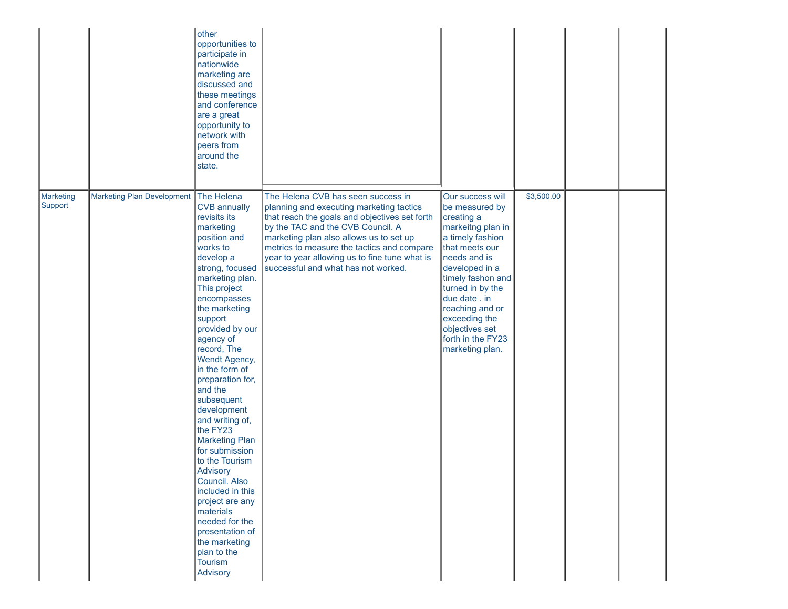|                      |                                   | other<br>opportunities to<br>participate in<br>nationwide<br>marketing are<br>discussed and<br>these meetings<br>and conference<br>are a great<br>opportunity to<br>network with<br>peers from<br>around the<br>state.                                                                                                                                                                                                                                                                                                                                                                                                                        |                                                                                                                                                                                                                                                                                                                                                       |                                                                                                                                                                                                                                                                                                       |            |  |
|----------------------|-----------------------------------|-----------------------------------------------------------------------------------------------------------------------------------------------------------------------------------------------------------------------------------------------------------------------------------------------------------------------------------------------------------------------------------------------------------------------------------------------------------------------------------------------------------------------------------------------------------------------------------------------------------------------------------------------|-------------------------------------------------------------------------------------------------------------------------------------------------------------------------------------------------------------------------------------------------------------------------------------------------------------------------------------------------------|-------------------------------------------------------------------------------------------------------------------------------------------------------------------------------------------------------------------------------------------------------------------------------------------------------|------------|--|
| Marketing<br>Support | <b>Marketing Plan Development</b> | The Helena<br><b>CVB</b> annually<br>revisits its<br>marketing<br>position and<br>works to<br>develop a<br>strong, focused<br>marketing plan.<br>This project<br>encompasses<br>the marketing<br>support<br>provided by our<br>agency of<br>record, The<br>Wendt Agency,<br>in the form of<br>preparation for,<br>and the<br>subsequent<br>development<br>and writing of,<br>the FY23<br><b>Marketing Plan</b><br>for submission<br>to the Tourism<br>Advisory<br>Council. Also<br>included in this<br>project are any<br>materials<br>needed for the<br>presentation of<br>the marketing<br>plan to the<br><b>Tourism</b><br><b>Advisory</b> | The Helena CVB has seen success in<br>planning and executing marketing tactics<br>that reach the goals and objectives set forth<br>by the TAC and the CVB Council. A<br>marketing plan also allows us to set up<br>metrics to measure the tactics and compare<br>year to year allowing us to fine tune what is<br>successful and what has not worked. | Our success will<br>be measured by<br>creating a<br>markeitng plan in<br>a timely fashion<br>that meets our<br>needs and is<br>developed in a<br>timely fashon and<br>turned in by the<br>due date . in<br>reaching and or<br>exceeding the<br>objectives set<br>forth in the FY23<br>marketing plan. | \$3,500.00 |  |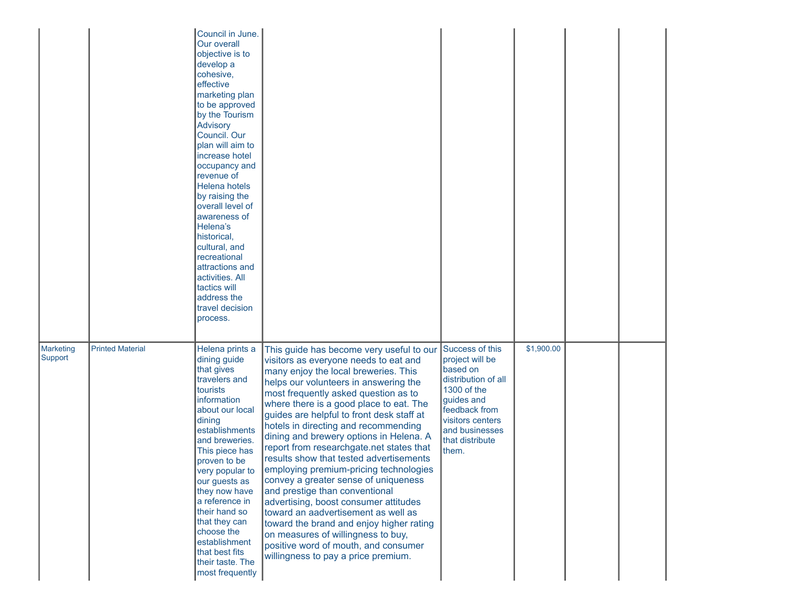|                      |                         | Council in June.<br>Our overall<br>objective is to<br>develop a<br>cohesive,<br>effective<br>marketing plan<br>to be approved<br>by the Tourism<br>Advisory<br>Council. Our<br>plan will aim to<br>increase hotel<br>occupancy and<br>revenue of<br><b>Helena hotels</b><br>by raising the<br>overall level of<br>awareness of<br>Helena's<br>historical,<br>cultural, and<br>recreational<br>attractions and<br>activities. All<br>tactics will<br>address the<br>travel decision<br>process. |                                                                                                                                                                                                                                                                                                                                                                                                                                                                                                                                                                                                                                                                                                                                                                                                                                                   |                                                                                                                                                                                       |            |  |  |
|----------------------|-------------------------|------------------------------------------------------------------------------------------------------------------------------------------------------------------------------------------------------------------------------------------------------------------------------------------------------------------------------------------------------------------------------------------------------------------------------------------------------------------------------------------------|---------------------------------------------------------------------------------------------------------------------------------------------------------------------------------------------------------------------------------------------------------------------------------------------------------------------------------------------------------------------------------------------------------------------------------------------------------------------------------------------------------------------------------------------------------------------------------------------------------------------------------------------------------------------------------------------------------------------------------------------------------------------------------------------------------------------------------------------------|---------------------------------------------------------------------------------------------------------------------------------------------------------------------------------------|------------|--|--|
| Marketing<br>Support | <b>Printed Material</b> | Helena prints a<br>dining guide<br>that gives<br>travelers and<br>tourists<br>information<br>about our local<br>dining<br>establishments<br>and breweries.<br>This piece has<br>proven to be<br>very popular to<br>our guests as<br>they now have<br>a reference in<br>their hand so<br>that they can<br>choose the<br>establishment<br>that best fits<br>their taste. The<br>most frequently                                                                                                  | This guide has become very useful to our<br>visitors as everyone needs to eat and<br>many enjoy the local breweries. This<br>helps our volunteers in answering the<br>most frequently asked question as to<br>where there is a good place to eat. The<br>guides are helpful to front desk staff at<br>hotels in directing and recommending<br>dining and brewery options in Helena. A<br>report from researchgate.net states that<br>results show that tested advertisements<br>employing premium-pricing technologies<br>convey a greater sense of uniqueness<br>and prestige than conventional<br>advertising, boost consumer attitudes<br>toward an aadvertisement as well as<br>toward the brand and enjoy higher rating<br>on measures of willingness to buy,<br>positive word of mouth, and consumer<br>willingness to pay a price premium. | Success of this<br>project will be<br>based on<br>distribution of all<br>1300 of the<br>guides and<br>feedback from<br>visitors centers<br>and businesses<br>that distribute<br>them. | \$1,900.00 |  |  |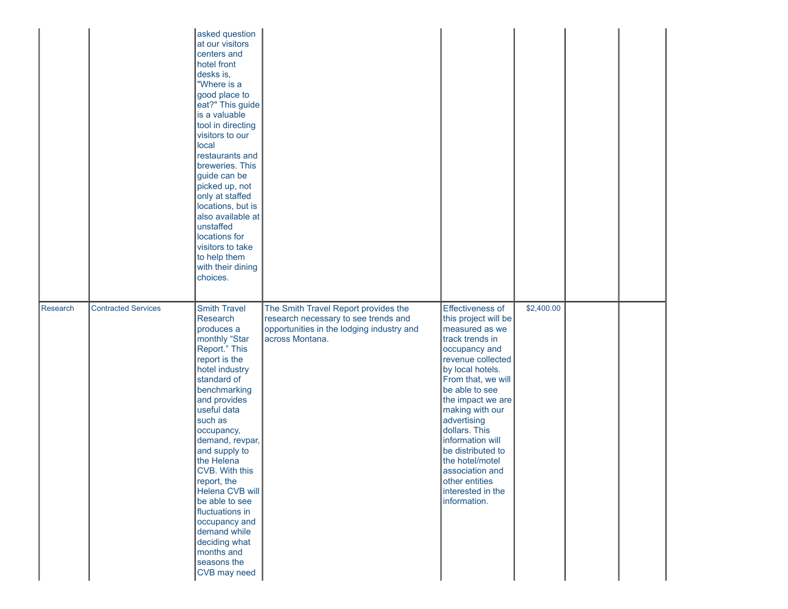|          |                            | asked question<br>at our visitors<br>centers and<br>hotel front<br>desks is,<br>"Where is a<br>good place to<br>eat?" This guide<br>is a valuable<br>tool in directing<br>visitors to our<br>local<br>restaurants and<br>breweries. This<br>guide can be<br>picked up, not<br>only at staffed<br>locations, but is<br>also available at<br>unstaffed<br>locations for<br>visitors to take<br>to help them<br>with their dining<br>choices.          |                                                                                                                                              |                                                                                                                                                                                                                                                                                                                                                                                               |            |  |  |
|----------|----------------------------|-----------------------------------------------------------------------------------------------------------------------------------------------------------------------------------------------------------------------------------------------------------------------------------------------------------------------------------------------------------------------------------------------------------------------------------------------------|----------------------------------------------------------------------------------------------------------------------------------------------|-----------------------------------------------------------------------------------------------------------------------------------------------------------------------------------------------------------------------------------------------------------------------------------------------------------------------------------------------------------------------------------------------|------------|--|--|
| Research | <b>Contracted Services</b> | <b>Smith Travel</b><br>Research<br>produces a<br>monthly "Star<br>Report." This<br>report is the<br>hotel industry<br>standard of<br>benchmarking<br>and provides<br>useful data<br>such as<br>occupancy,<br>demand, revpar,<br>and supply to<br>the Helena<br>CVB. With this<br>report, the<br>Helena CVB will<br>be able to see<br>fluctuations in<br>occupancy and<br>demand while<br>deciding what<br>months and<br>seasons the<br>CVB may need | The Smith Travel Report provides the<br>research necessary to see trends and<br>opportunities in the lodging industry and<br>across Montana. | Effectiveness of<br>this project will be<br>measured as we<br>track trends in<br>occupancy and<br>revenue collected<br>by local hotels.<br>From that, we will<br>be able to see<br>the impact we are<br>making with our<br>advertising<br>dollars. This<br>information will<br>be distributed to<br>the hotel/motel<br>association and<br>other entities<br>interested in the<br>information. | \$2,400.00 |  |  |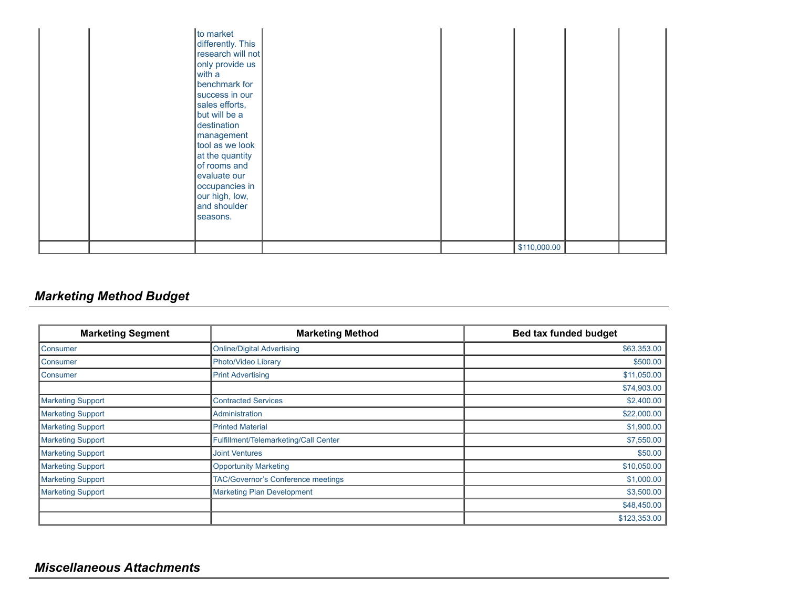|  | to market<br>differently. This<br>research will not<br>only provide us<br>with a<br>benchmark for<br>success in our<br>sales efforts,<br>but will be a<br>destination<br>management<br>tool as we look<br>at the quantity<br>of rooms and<br>evaluate our<br>occupancies in<br>our high, low,<br>and shoulder<br>seasons. |  |              |  |  |
|--|---------------------------------------------------------------------------------------------------------------------------------------------------------------------------------------------------------------------------------------------------------------------------------------------------------------------------|--|--------------|--|--|
|  |                                                                                                                                                                                                                                                                                                                           |  | \$110,000.00 |  |  |

# *Marketing Method Budget*

| <b>Marketing Segment</b> | <b>Marketing Method</b>               | <b>Bed tax funded budget</b> |
|--------------------------|---------------------------------------|------------------------------|
| Consumer                 | <b>Online/Digital Advertising</b>     | \$63,353.00                  |
| Consumer                 | Photo/Video Library                   | \$500.00                     |
| Consumer                 | <b>Print Advertising</b>              | \$11,050.00                  |
|                          |                                       | \$74,903.00                  |
| <b>Marketing Support</b> | <b>Contracted Services</b>            | \$2,400.00                   |
| Marketing Support        | Administration                        | \$22,000.00                  |
| <b>Marketing Support</b> | <b>Printed Material</b>               | \$1,900.00                   |
| Marketing Support        | Fulfillment/Telemarketing/Call Center | \$7,550.00                   |
| <b>Marketing Support</b> | <b>Joint Ventures</b>                 | \$50.00                      |
| <b>Marketing Support</b> | <b>Opportunity Marketing</b>          | \$10,050.00                  |
| <b>Marketing Support</b> | TAC/Governor's Conference meetings    | \$1,000.00                   |
| <b>Marketing Support</b> | <b>Marketing Plan Development</b>     | \$3,500.00                   |
|                          |                                       | \$48,450.00                  |
|                          |                                       | \$123,353.00                 |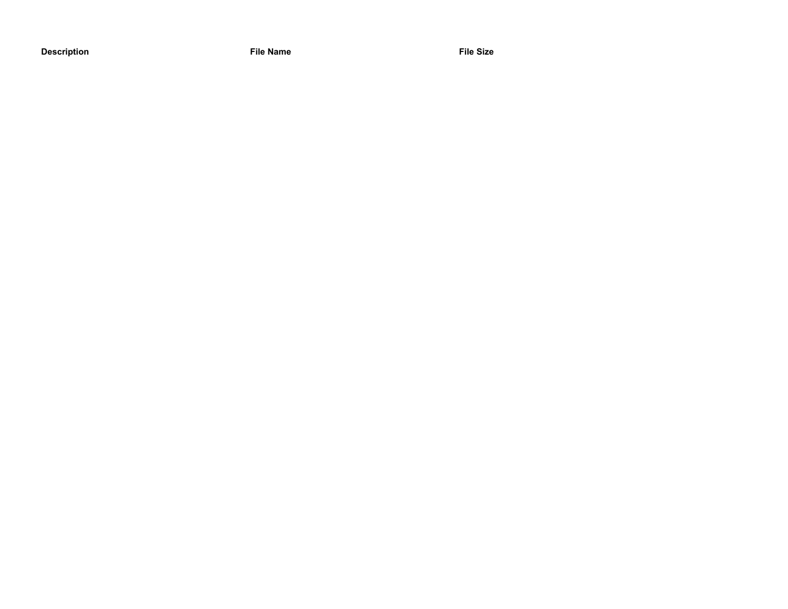**Description File Name File Size**